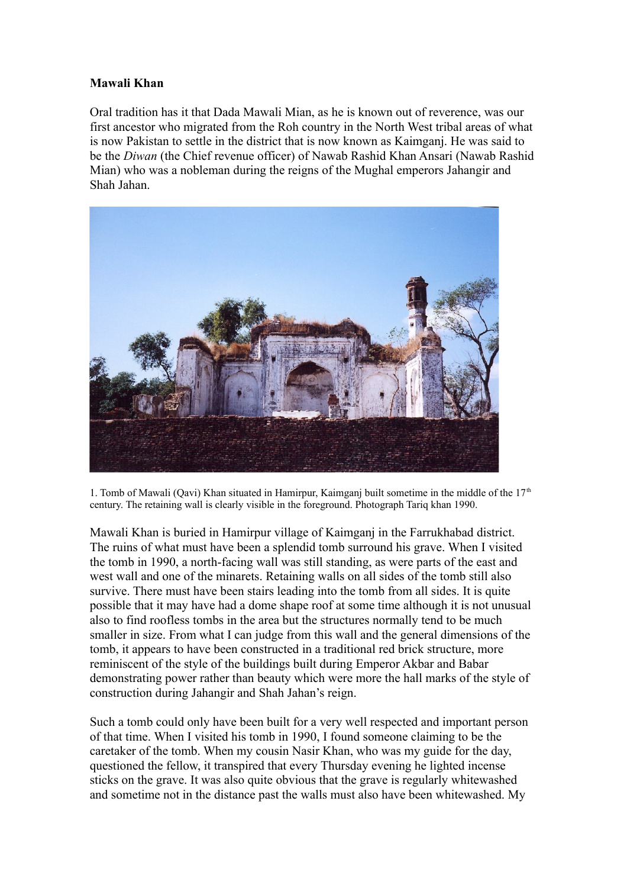## **Mawali Khan**

Oral tradition has it that Dada Mawali Mian, as he is known out of reverence, was our first ancestor who migrated from the Roh country in the North West tribal areas of what is now Pakistan to settle in the district that is now known as Kaimganj. He was said to be the *Diwan* (the Chief revenue officer) of Nawab Rashid Khan Ansari (Nawab Rashid Mian) who was a nobleman during the reigns of the Mughal emperors Jahangir and Shah Jahan.



1. Tomb of Mawali (Qavi) Khan situated in Hamirpur, Kaimganj built sometime in the middle of the  $17<sup>th</sup>$ century. The retaining wall is clearly visible in the foreground. Photograph Tariq khan 1990.

Mawali Khan is buried in Hamirpur village of Kaimganj in the Farrukhabad district. The ruins of what must have been a splendid tomb surround his grave. When I visited the tomb in 1990, a north-facing wall was still standing, as were parts of the east and west wall and one of the minarets. Retaining walls on all sides of the tomb still also survive. There must have been stairs leading into the tomb from all sides. It is quite possible that it may have had a dome shape roof at some time although it is not unusual also to find roofless tombs in the area but the structures normally tend to be much smaller in size. From what I can judge from this wall and the general dimensions of the tomb, it appears to have been constructed in a traditional red brick structure, more reminiscent of the style of the buildings built during Emperor Akbar and Babar demonstrating power rather than beauty which were more the hall marks of the style of construction during Jahangir and Shah Jahan's reign.

Such a tomb could only have been built for a very well respected and important person of that time. When I visited his tomb in 1990, I found someone claiming to be the caretaker of the tomb. When my cousin Nasir Khan, who was my guide for the day, questioned the fellow, it transpired that every Thursday evening he lighted incense sticks on the grave. It was also quite obvious that the grave is regularly whitewashed and sometime not in the distance past the walls must also have been whitewashed. My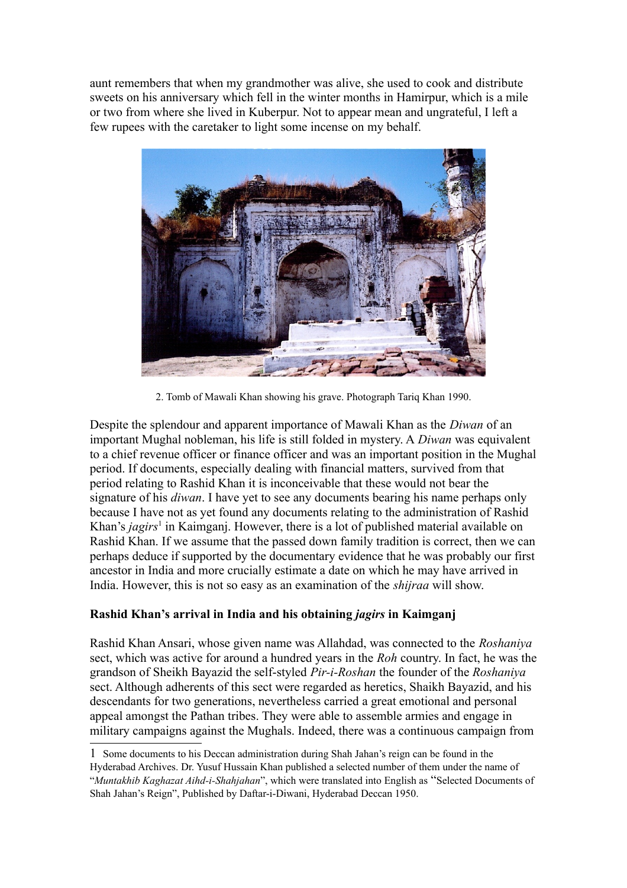aunt remembers that when my grandmother was alive, she used to cook and distribute sweets on his anniversary which fell in the winter months in Hamirpur, which is a mile or two from where she lived in Kuberpur. Not to appear mean and ungrateful, I left a few rupees with the caretaker to light some incense on my behalf.



2. Tomb of Mawali Khan showing his grave. Photograph Tariq Khan 1990.

Despite the splendour and apparent importance of Mawali Khan as the *Diwan* of an important Mughal nobleman, his life is still folded in mystery. A *Diwan* was equivalent to a chief revenue officer or finance officer and was an important position in the Mughal period. If documents, especially dealing with financial matters, survived from that period relating to Rashid Khan it is inconceivable that these would not bear the signature of his *diwan*. I have yet to see any documents bearing his name perhaps only because I have not as yet found any documents relating to the administration of Rashid Khan's *jagirs*<sup>[1](#page-1-0)</sup> in Kaimganj. However, there is a lot of published material available on Rashid Khan. If we assume that the passed down family tradition is correct, then we can perhaps deduce if supported by the documentary evidence that he was probably our first ancestor in India and more crucially estimate a date on which he may have arrived in India. However, this is not so easy as an examination of the *shijraa* will show.

## **Rashid Khan's arrival in India and his obtaining** *jagirs* **in Kaimganj**

Rashid Khan Ansari, whose given name was Allahdad, was connected to the *Roshaniya* sect, which was active for around a hundred years in the *Roh* country. In fact, he was the grandson of Sheikh Bayazid the self-styled *Pir-i-Roshan* the founder of the *Roshaniya* sect. Although adherents of this sect were regarded as heretics, Shaikh Bayazid, and his descendants for two generations, nevertheless carried a great emotional and personal appeal amongst the Pathan tribes. They were able to assemble armies and engage in military campaigns against the Mughals. Indeed, there was a continuous campaign from

<span id="page-1-0"></span><sup>1</sup> Some documents to his Deccan administration during Shah Jahan's reign can be found in the Hyderabad Archives. Dr. Yusuf Hussain Khan published a selected number of them under the name of "*Muntakhib Kaghazat Aihd-i-Shahjahan*", which were translated into English as "Selected Documents of Shah Jahan's Reign", Published by Daftar-i-Diwani, Hyderabad Deccan 1950.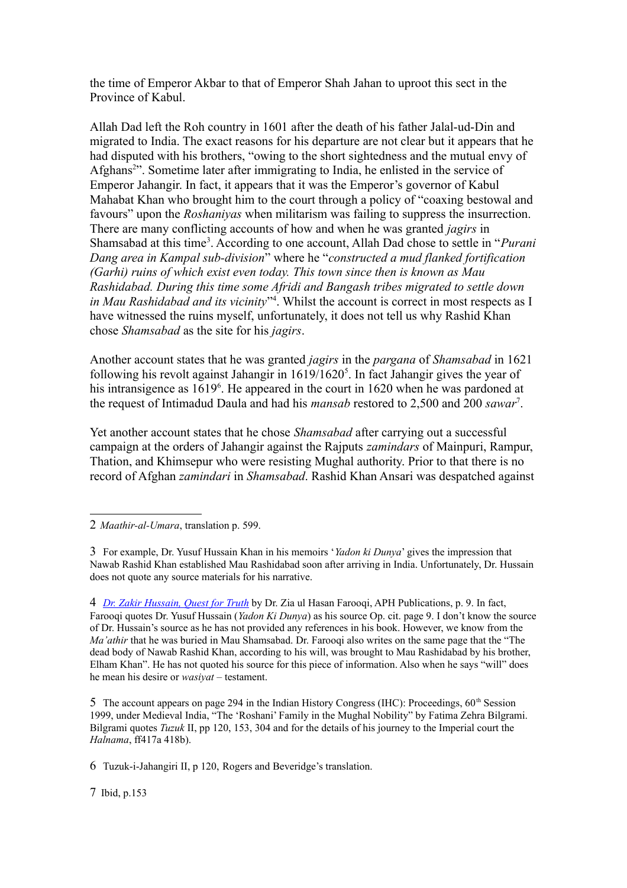the time of Emperor Akbar to that of Emperor Shah Jahan to uproot this sect in the Province of Kabul.

Allah Dad left the Roh country in 1601 after the death of his father Jalal-ud-Din and migrated to India. The exact reasons for his departure are not clear but it appears that he had disputed with his brothers, "owing to the short sightedness and the mutual envy of Afghans<sup>[2](#page-2-0)</sup>". Sometime later after immigrating to India, he enlisted in the service of Emperor Jahangir. In fact, it appears that it was the Emperor's governor of Kabul Mahabat Khan who brought him to the court through a policy of "coaxing bestowal and favours" upon the *Roshaniyas* when militarism was failing to suppress the insurrection. There are many conflicting accounts of how and when he was granted *jagirs* in Shamsabad at this time<sup>[3](#page-2-1)</sup>. According to one account, Allah Dad chose to settle in "*Purani Dang area in Kampal sub-division*" where he "*constructed a mud flanked fortification (Garhi) ruins of which exist even today. This town since then is known as Mau Rashidabad. During this time some Afridi and Bangash tribes migrated to settle down in Mau Rashidabad and its vicinity*" [4](#page-2-2) . Whilst the account is correct in most respects as I have witnessed the ruins myself, unfortunately, it does not tell us why Rashid Khan chose *Shamsabad* as the site for his *jagirs*.

Another account states that he was granted *jagirs* in the *pargana* of *Shamsabad* in 1621 following his revolt against Jahangir in  $1619/1620<sup>5</sup>$  $1619/1620<sup>5</sup>$  $1619/1620<sup>5</sup>$ . In fact Jahangir gives the year of his intransigence as 1[6](#page-2-4)19<sup>6</sup>. He appeared in the court in 1620 when he was pardoned at the request of Intimadud Daula and had his *mansab* restored to 2,500 and 200 *sawar*[7](#page-2-5) .

Yet another account states that he chose *Shamsabad* after carrying out a successful campaign at the orders of Jahangir against the Rajputs *zamindars* of Mainpuri, Rampur, Thation, and Khimsepur who were resisting Mughal authority. Prior to that there is no record of Afghan *zamindari* in *Shamsabad*. Rashid Khan Ansari was despatched against

<span id="page-2-3"></span>5 The account appears on page 294 in the Indian History Congress (IHC): Proceedings,  $60<sup>th</sup>$  Session 1999, under Medieval India, "The 'Roshani' Family in the Mughal Nobility" by Fatima Zehra Bilgrami. Bilgrami quotes *Tuzuk* II, pp 120, 153, 304 and for the details of his journey to the Imperial court the *Halnama*, ff417a 418b).

<span id="page-2-4"></span>6 Tuzuk-i-Jahangiri II, p 120, Rogers and Beveridge's translation.

<span id="page-2-5"></span>7 Ibid, p.153

<span id="page-2-0"></span><sup>2</sup> *Maathir-al-Umara*, translation p. 599.

<span id="page-2-1"></span><sup>3</sup> For example, Dr. Yusuf Hussain Khan in his memoirs '*Yadon ki Dunya*' gives the impression that Nawab Rashid Khan established Mau Rashidabad soon after arriving in India. Unfortunately, Dr. Hussain does not quote any source materials for his narrative.

<span id="page-2-2"></span><sup>4</sup> *[Dr. Zakir Hussain, Quest for Truth](http://books.google.com/books?id=uzNnwUasQ3wC&pg=PA9&dq=Nawab+Rashid+Khan&ei=IaNUSouwGaW-NPnJ7IwN)* by Dr. Zia ul Hasan Farooqi, APH Publications, p. 9. In fact, Farooqi quotes Dr. Yusuf Hussain (*Yadon Ki Dunya*) as his source Op. cit. page 9. I don't know the source of Dr. Hussain's source as he has not provided any references in his book. However, we know from the *Ma'athir* that he was buried in Mau Shamsabad. Dr. Farooqi also writes on the same page that the "The dead body of Nawab Rashid Khan, according to his will, was brought to Mau Rashidabad by his brother, Elham Khan". He has not quoted his source for this piece of information. Also when he says "will" does he mean his desire or *wasiyat* – testament.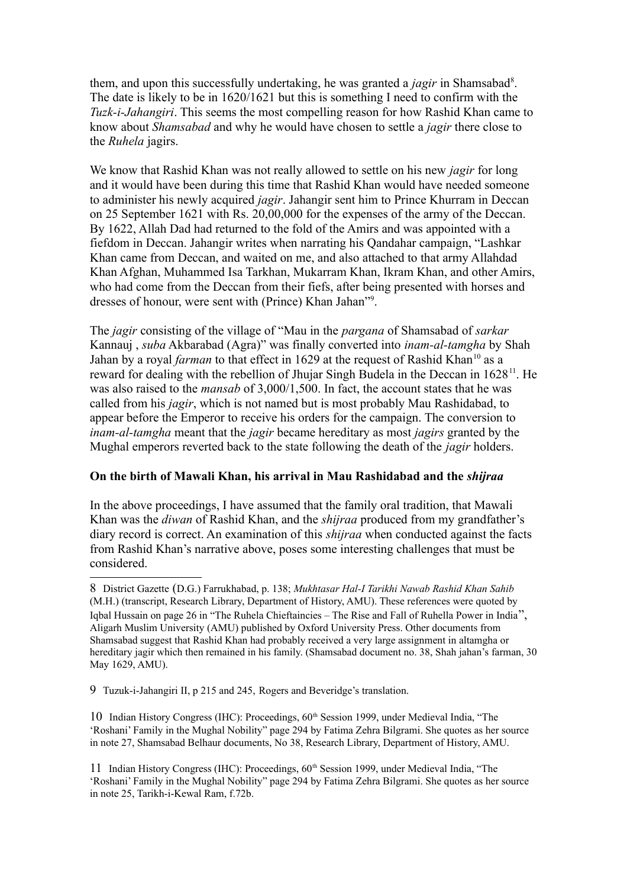them, and upon this successfully undertaking, he was granted a *jagir* in Shamsabad<sup>[8](#page-3-0)</sup>. The date is likely to be in 1620/1621 but this is something I need to confirm with the *Tuzk-i-Jahangiri*. This seems the most compelling reason for how Rashid Khan came to know about *Shamsabad* and why he would have chosen to settle a *jagir* there close to the *Ruhela* jagirs.

We know that Rashid Khan was not really allowed to settle on his new *jagir* for long and it would have been during this time that Rashid Khan would have needed someone to administer his newly acquired *jagir*. Jahangir sent him to Prince Khurram in Deccan on 25 September 1621 with Rs. 20,00,000 for the expenses of the army of the Deccan. By 1622, Allah Dad had returned to the fold of the Amirs and was appointed with a fiefdom in Deccan. Jahangir writes when narrating his Qandahar campaign, "Lashkar Khan came from Deccan, and waited on me, and also attached to that army Allahdad Khan Afghan, Muhammed Isa Tarkhan, Mukarram Khan, Ikram Khan, and other Amirs, who had come from the Deccan from their fiefs, after being presented with horses and dresses of honour, were sent with (Prince) Khan Jahan"<sup>[9](#page-3-1)</sup>.

The *jagir* consisting of the village of "Mau in the *pargana* of Shamsabad of *sarkar* Kannauj , *suba* Akbarabad (Agra)" was finally converted into *inam-al-tamgha* by Shah Jahan by a royal *farman* to that effect in 1629 at the request of Rashid Khan<sup>[10](#page-3-2)</sup> as a reward for dealing with the rebellion of Jhujar Singh Budela in the Deccan in 1628<sup>[11](#page-3-3)</sup>. He was also raised to the *mansab* of 3,000/1,500. In fact, the account states that he was called from his *jagir*, which is not named but is most probably Mau Rashidabad, to appear before the Emperor to receive his orders for the campaign. The conversion to *inam-al-tamgha* meant that the *jagir* became hereditary as most *jagirs* granted by the Mughal emperors reverted back to the state following the death of the *jagir* holders.

## **On the birth of Mawali Khan, his arrival in Mau Rashidabad and the** *shijraa*

In the above proceedings, I have assumed that the family oral tradition, that Mawali Khan was the *diwan* of Rashid Khan, and the *shijraa* produced from my grandfather's diary record is correct. An examination of this *shijraa* when conducted against the facts from Rashid Khan's narrative above, poses some interesting challenges that must be considered.

<span id="page-3-0"></span><sup>8</sup> District Gazette (D.G.) Farrukhabad, p. 138; *Mukhtasar Hal-I Tarikhi Nawab Rashid Khan Sahib* (M.H.) (transcript, Research Library, Department of History, AMU). These references were quoted by Iqbal Hussain on page 26 in "The Ruhela Chieftaincies – The Rise and Fall of Ruhella Power in India", Aligarh Muslim University (AMU) published by Oxford University Press. Other documents from Shamsabad suggest that Rashid Khan had probably received a very large assignment in altamgha or hereditary jagir which then remained in his family. (Shamsabad document no. 38, Shah jahan's farman, 30 May 1629, AMU).

<span id="page-3-1"></span><sup>9</sup> Tuzuk-i-Jahangiri II, p 215 and 245, Rogers and Beveridge's translation.

<span id="page-3-2"></span><sup>10</sup> Indian History Congress (IHC): Proceedings,  $60<sup>th</sup>$  Session 1999, under Medieval India, "The 'Roshani' Family in the Mughal Nobility" page 294 by Fatima Zehra Bilgrami. She quotes as her source in note 27, Shamsabad Belhaur documents, No 38, Research Library, Department of History, AMU.

<span id="page-3-3"></span><sup>11</sup> Indian History Congress (IHC): Proceedings, 60th Session 1999, under Medieval India, "The 'Roshani' Family in the Mughal Nobility" page 294 by Fatima Zehra Bilgrami. She quotes as her source in note 25, Tarikh-i-Kewal Ram, f.72b.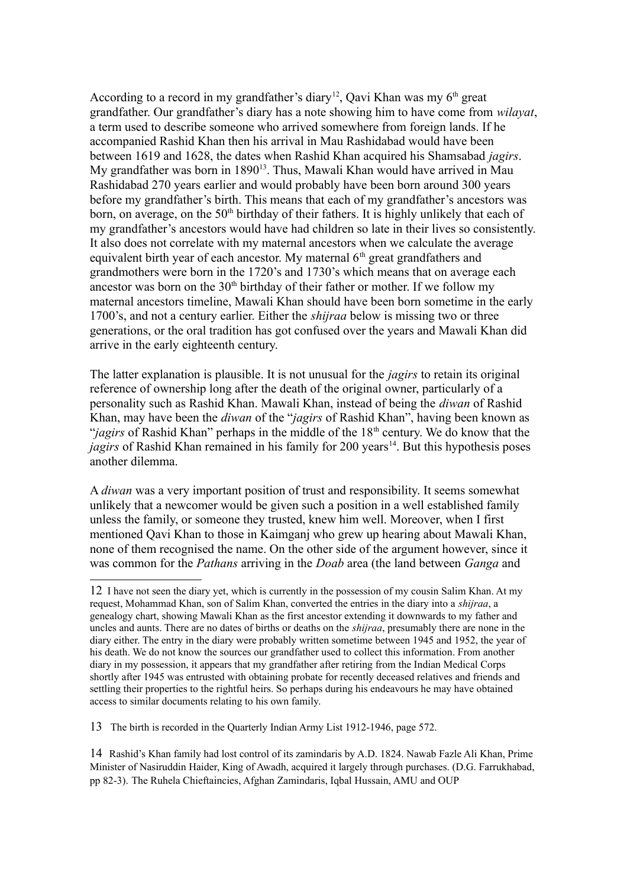According to a record in my grandfather's diary<sup>[12](#page-4-0)</sup>, Qavi Khan was my  $6<sup>th</sup>$  great grandfather. Our grandfather's diary has a note showing him to have come from *wilayat*, a term used to describe someone who arrived somewhere from foreign lands. If he accompanied Rashid Khan then his arrival in Mau Rashidabad would have been between 1619 and 1628, the dates when Rashid Khan acquired his Shamsabad *jagirs*. My grandfather was born in  $1890^{13}$  $1890^{13}$  $1890^{13}$ . Thus, Mawali Khan would have arrived in Mau Rashidabad 270 years earlier and would probably have been born around 300 years before my grandfather's birth. This means that each of my grandfather's ancestors was born, on average, on the  $50<sup>th</sup>$  birthday of their fathers. It is highly unlikely that each of my grandfather's ancestors would have had children so late in their lives so consistently. It also does not correlate with my maternal ancestors when we calculate the average equivalent birth year of each ancestor. My maternal  $6<sup>th</sup>$  great grandfathers and grandmothers were born in the 1720's and 1730's which means that on average each ancestor was born on the  $30<sup>th</sup>$  birthday of their father or mother. If we follow my maternal ancestors timeline, Mawali Khan should have been born sometime in the early 1700's, and not a century earlier. Either the *shijraa* below is missing two or three generations, or the oral tradition has got confused over the years and Mawali Khan did arrive in the early eighteenth century.

The latter explanation is plausible. It is not unusual for the *jagirs* to retain its original reference of ownership long after the death of the original owner, particularly of a personality such as Rashid Khan. Mawali Khan, instead of being the *diwan* of Rashid Khan, may have been the *diwan* of the "*jagirs* of Rashid Khan", having been known as "*jagirs* of Rashid Khan" perhaps in the middle of the 18<sup>th</sup> century. We do know that the *jagirs* of Rashid Khan remained in his family for 200 years<sup>[14](#page-4-2)</sup>. But this hypothesis poses another dilemma.

A *diwan* was a very important position of trust and responsibility. It seems somewhat unlikely that a newcomer would be given such a position in a well established family unless the family, or someone they trusted, knew him well. Moreover, when I first mentioned Qavi Khan to those in Kaimganj who grew up hearing about Mawali Khan, none of them recognised the name. On the other side of the argument however, since it was common for the *Pathans* arriving in the *Doab* area (the land between *Ganga* and

<span id="page-4-1"></span>13 The birth is recorded in the Quarterly Indian Army List 1912-1946, page 572.

<span id="page-4-2"></span>14 Rashid's Khan family had lost control of its zamindaris by A.D. 1824. Nawab Fazle Ali Khan, Prime Minister of Nasiruddin Haider, King of Awadh, acquired it largely through purchases. (D.G. Farrukhabad, pp 82-3). The Ruhela Chieftaincies, Afghan Zamindaris, Iqbal Hussain, AMU and OUP

<span id="page-4-0"></span><sup>12</sup> I have not seen the diary yet, which is currently in the possession of my cousin Salim Khan. At my request, Mohammad Khan, son of Salim Khan, converted the entries in the diary into a *shijraa*, a genealogy chart, showing Mawali Khan as the first ancestor extending it downwards to my father and uncles and aunts. There are no dates of births or deaths on the *shijraa*, presumably there are none in the diary either. The entry in the diary were probably written sometime between 1945 and 1952, the year of his death. We do not know the sources our grandfather used to collect this information. From another diary in my possession, it appears that my grandfather after retiring from the Indian Medical Corps shortly after 1945 was entrusted with obtaining probate for recently deceased relatives and friends and settling their properties to the rightful heirs. So perhaps during his endeavours he may have obtained access to similar documents relating to his own family.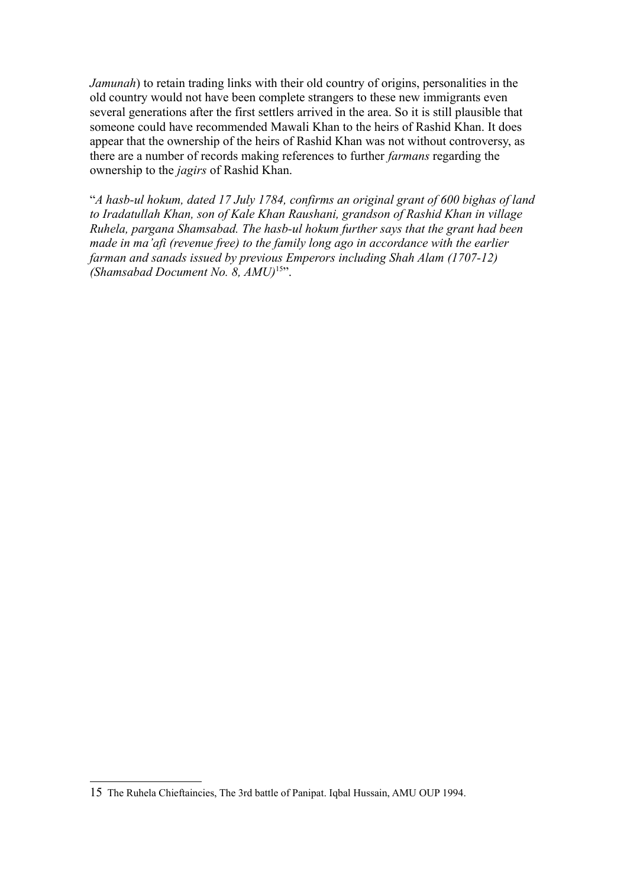*Jamunah*) to retain trading links with their old country of origins, personalities in the old country would not have been complete strangers to these new immigrants even several generations after the first settlers arrived in the area. So it is still plausible that someone could have recommended Mawali Khan to the heirs of Rashid Khan. It does appear that the ownership of the heirs of Rashid Khan was not without controversy, as there are a number of records making references to further *farmans* regarding the ownership to the *jagirs* of Rashid Khan.

"*A hasb-ul hokum, dated 17 July 1784, confirms an original grant of 600 bighas of land to Iradatullah Khan, son of Kale Khan Raushani, grandson of Rashid Khan in village Ruhela, pargana Shamsabad. The hasb-ul hokum further says that the grant had been made in ma'afi (revenue free) to the family long ago in accordance with the earlier farman and sanads issued by previous Emperors including Shah Alam (1707-12) (Shamsabad Document No. 8, AMU)*[15](#page-5-0)".

<span id="page-5-0"></span><sup>15</sup> The Ruhela Chieftaincies, The 3rd battle of Panipat. Iqbal Hussain, AMU OUP 1994.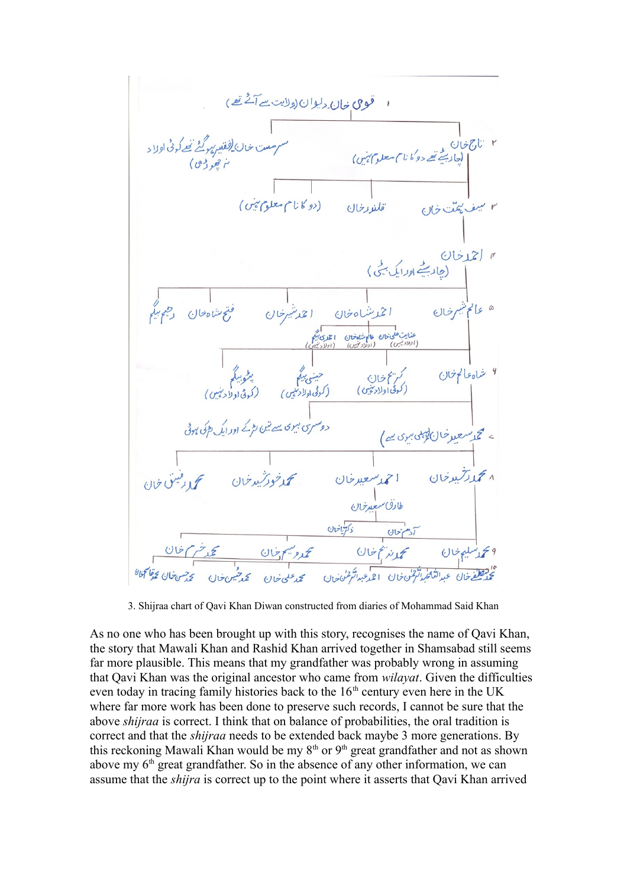

3. Shijraa chart of Qavi Khan Diwan constructed from diaries of Mohammad Said Khan

As no one who has been brought up with this story, recognises the name of Qavi Khan, the story that Mawali Khan and Rashid Khan arrived together in Shamsabad still seems far more plausible. This means that my grandfather was probably wrong in assuming that Qavi Khan was the original ancestor who came from *wilayat*. Given the difficulties even today in tracing family histories back to the  $16<sup>th</sup>$  century even here in the UK where far more work has been done to preserve such records, I cannot be sure that the above *shijraa* is correct. I think that on balance of probabilities, the oral tradition is correct and that the *shijraa* needs to be extended back maybe 3 more generations. By this reckoning Mawali Khan would be my  $8<sup>th</sup>$  or  $9<sup>th</sup>$  great grandfather and not as shown above my  $6<sup>th</sup>$  great grandfather. So in the absence of any other information, we can assume that the *shijra* is correct up to the point where it asserts that Qavi Khan arrived